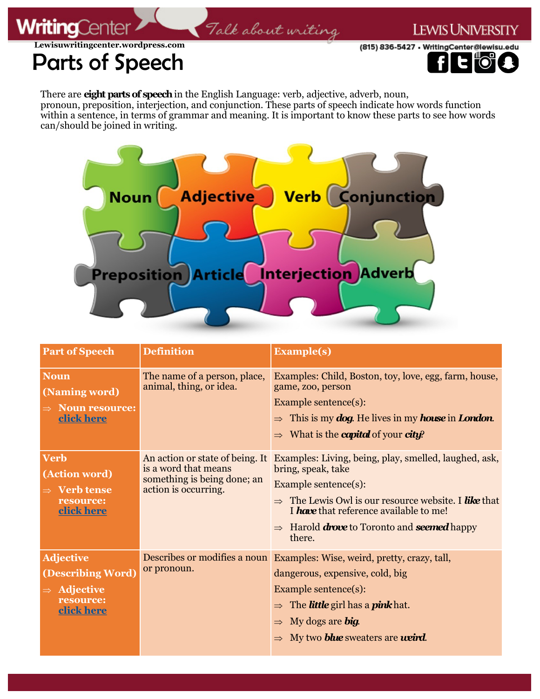## **LEWIS UNIVERSITY**

**Lewisuwritingcenter.wordpress.com**

**WritingCer** 

## (815) 836-5427 • WritingCenter@lewisu.edu

Parts of Speech

There are **eight parts of speech** in the English Language: verb, adjective, adverb, noun, pronoun, preposition, interjection, and conjunction. These parts of speech indicate how words function within a sentence, in terms of grammar and meaning. It is important to know these parts to see how words can/should be joined in writing.

Talk about writing



| <b>Part of Speech</b>                                                                       | <b>Definition</b>                                                                                              | <b>Example(s)</b>                                                                                                                                                                                                                                                                                   |
|---------------------------------------------------------------------------------------------|----------------------------------------------------------------------------------------------------------------|-----------------------------------------------------------------------------------------------------------------------------------------------------------------------------------------------------------------------------------------------------------------------------------------------------|
| <b>Noun</b><br>(Naming word)<br><b>Noun resource:</b><br>click here                         | The name of a person, place,<br>animal, thing, or idea.                                                        | Examples: Child, Boston, toy, love, egg, farm, house,<br>game, zoo, person<br>Example sentence(s):<br>$\Rightarrow$ This is my <b>dog.</b> He lives in my <b>house</b> in <b>London</b> .<br>$\Rightarrow$ What is the <b>capital</b> of your <b>city?</b>                                          |
| <b>Verb</b><br>(Action word)<br>$\Rightarrow$ Verb tense<br>resource:<br>click here         | An action or state of being. It<br>is a word that means<br>something is being done; an<br>action is occurring. | Examples: Living, being, play, smelled, laughed, ask,<br>bring, speak, take<br>Example sentence(s):<br>$\Rightarrow$ The Lewis Owl is our resource website. I like that<br>I have that reference available to me!<br>$\Rightarrow$ Harold <b>drove</b> to Toronto and <b>seemed</b> happy<br>there. |
| <b>Adjective</b><br>(Describing Word)<br>$\Rightarrow$ Adjective<br>resource:<br>click here | Describes or modifies a noun<br>or pronoun.                                                                    | Examples: Wise, weird, pretty, crazy, tall,<br>dangerous, expensive, cold, big<br>Example sentence(s):<br>$\Rightarrow$ The <b>little</b> girl has a <b>pink</b> hat.<br>$\Rightarrow$ My dogs are big.<br>My two <b>blue</b> sweaters are <b>ueird</b> .                                           |